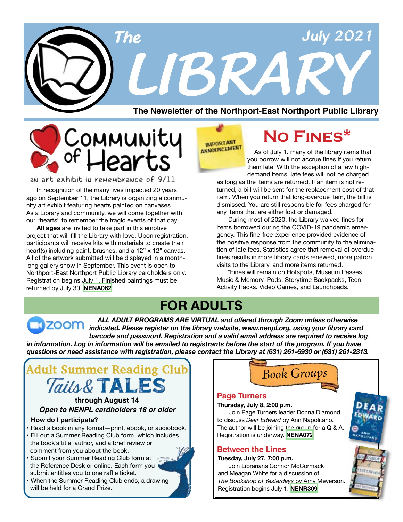



an art exhibit in remembrance of 9/11

 In recognition of the many lives impacted 20 years ago on September 11, the Library is organizing a community art exhibit featuring hearts painted on canvases. As a Library and community, we will come together with our "hearts" to remember the tragic events of that day.

**All ages** are invited to take part in this emotive project that will fill the Library with love. Upon registration, participants will receive kits with materials to create their heart(s) including paint, brushes, and a 12" x 12" canvas. All of the artwork submitted will be displayed in a monthlong gallery show in September. This event is open to Northport-East Northport Public Library cardholders only. Registration begins July 1. Finished paintings must be returned by July 30. **[NENA062](https://search.livebrary.com/record=g1105315~S43)**

**IMPORTANT** ANNOUNCEMENT

# **No Fines\***

 As of July 1, many of the library items that you borrow will not accrue fines if you return them late. With the exception of a few highdemand items, late fees will not be charged

as long as the items are returned. If an item is not returned, a bill will be sent for the replacement cost of that item. When you return that long-overdue item, the bill is dismissed. You are still responsible for fees charged for any items that are either lost or damaged.

 During most of 2020, the Library waived fines for items borrowed during the COVID-19 pandemic emergency. This fine-free experience provided evidence of the positive response from the community to the elimination of late fees. Statistics agree that removal of overdue fines results in more library cards renewed, more patron visits to the Library, and more items returned.

 \*Fines will remain on Hotspots, Museum Passes, Music & Memory iPods, Storytime Backpacks, Teen Activity Packs, Video Games, and Launchpads.

# **FOR ADULTS**

 *ALL ADULT PROGRAMS ARE VIRTUAL and offered through Zoom unless otherwise indicated. Please register on the library website, www.nenpl.org, using your library card barcode and password. Registration and a valid email address are required to receive log* in information. Log in information will be emailed to registrants before the start of the program. If you have *questions or need assistance with registration, please contact the Library at (631) 261-6930 or (631) 261-2313.*



### *Open to NENPL cardholders 18 or older* **through August 14**

### **How do I participate?**

- Read a book in any format—print, ebook, or audiobook.
- Fill out a Summer Reading Club form, which includes the book's title, author, and a brief review or comment from you about the book.
- Submit your Summer Reading Club form at the Reference Desk or online. Each form you submit entitles you to one raffle ticket.
- When the Summer Reading Club ends, a drawing will be held for a Grand Prize.



### **Page Turners**

**Thursday, July 8, 2:00 p.m.**

 Join Page Turners leader Donna Diamond to discuss *Dear Edward* by Ann Napolitano. The author will be joining the group for a Q & A. Registration is underway. **[NENA072](https://search.livebrary.com/record=g1105316~S43)**

### **Between the Lines**

**Tuesday, July 27, 7:00 p.m.**

 Join Librarians Connor McCormack and Meagan White for a discussion of *The Bookshop of Yesterdays* by Amy Meyerson. Registration begins July 1. **[NENR309](https://search.livebrary.com/record=g1102389~S43)**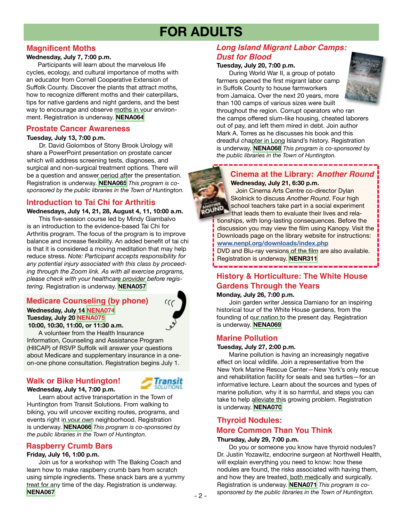# **FOR ADULTS**

### **Magnificent Moths**

### **Wednesday, July 7, 7:00 p.m.**

Participants will learn about the marvelous life cycles, ecology, and cultural importance of moths with an educator from Cornell Cooperative Extension of Suffolk County. Discover the plants that attract moths, how to recognize different moths and their caterpillars, tips for native gardens and night gardens, and the best way to encourage and observe moths in your environment. Registration is underway. **[NENA064](https://search.livebrary.com/record=g1105321~S43)**

### **Prostate Cancer Awareness**

### **Tuesday, July 13, 7:00 p.m.**

Dr. David Golombos of Stony Brook Urology will share a PowerPoint presentation on prostate cancer which will address screening tests, diagnoses, and surgical and non-surgical treatment options. There will be a question and answer period after the presentation. Registration is underway. **[NENA065](https://search.livebrary.com/record=g1105322~S43)** *This program is cosponsored by the public libraries in the Town of Huntington.*

## **Introduction to Tai Chi for Arthritis**

**Wednesdays, July 14, 21, 28, August 4, 11, 10:00 a.m.** This five-session course led by Mindy Giambalvo is an introduction to the evidence-based Tai Chi for Arthritis program. The focus of the program is to improve balance and increase flexibility. An added benefit of tai chi is that it is considered a moving meditation that may help reduce stress. *Note: Participant accepts responsibility for any potential injury associated with this class by proceeding through the Zoom link. As with all exercise programs,* 

*please check with your healthcare provider before registering.* Registration is underway. **[NENA057](https://search.livebrary.com/record=g1104623~S43)**

# **Medicare Counseling (by phone)**

# **Wednesday, July 14 [NENA074](https://search.livebrary.com/record=g1105429~S43) Tuesday, July 20 [NENA075](https://search.livebrary.com/record=g1105431~S43)**

 **10:00, 10:30, 11:00, or 11:30 a.m.**

 A volunteer from the Health Insurance Information, Counseling and Assistance Program (HIICAP) of RSVP Suffolk will answer your questions about Medicare and supplementary insurance in a oneon-one phone consultation. Registration begins July 1.

### **Wednesday, July 14, 7:00 p.m. Walk or Bike Huntington!**



Learn about active transportation in the Town of Huntington from Transit Solutions. From walking to biking, you will uncover exciting routes, programs, and events right in your own neighborhood. Registration is underway. **[NENA066](https://search.livebrary.com/record=g1105340~S43)** *This program is co-sponsored by the public libraries in the Town of Huntington.*

### **Raspberry Crumb Bars**

### **Friday, July 16, 1:00 p.m.**

Join us for a workshop with The Baking Coach and learn how to make raspberry crumb bars from scratch using simple ingredients. These snack bars are a yummy treat for any time of the day. Registration is underway. **[NENA067](https://search.livebrary.com/record=g1105356~S43)**

## *Long Island Migrant Labor Camps: Dust for Blood*

### **Tuesday, July 20, 7:00 p.m.**

During World War II, a group of potato farmers opened the first migrant labor camp in Suffolk County to house farmworkers from Jamaica. Over the next 20 years, more than 100 camps of various sizes were built



throughout the region. Corrupt operators who ran the camps offered slum-like housing, cheated laborers out of pay, and left them mired in debt. Join author Mark A. Torres as he discusses his book and this dreadful chapter in Long Island's history. Registration is underway. **[NENA068](https://search.livebrary.com/record=g1105390~S43)** *This program is co-sponsored by the public libraries in the Town of Huntington.*

**Cinema at the Library:** *Another Round*  **Wednesday, July 21, 6:30 p.m.**

 Join Cinema Arts Centre co-director Dylan Skolnick to discuss *Another Round*. Four high school teachers take part in a social experiment that leads them to evaluate their lives and rela-

tionships, with long-lasting consequences. Before the discussion you may view the film using Kanopy. Visit the Downloads page on the library website for instructions: **[www.nenpl.org/downloads/index.php](http://www.nenpl.org/downloads/index.php)**

DVD and Blu-ray versions of the film are also available. Registration is underway. **[NENR311](https://search.livebrary.com/record=g1100063~S43)**

# **History & Horticulture: The White House Gardens Through the Years**

### **Monday, July 26, 7:00 p.m.**

Join garden writer Jessica Damiano for an inspiring historical tour of the White House gardens, from the founding of our nation to the present day. Registration is underway. **[NENA069](https://search.livebrary.com/record=g1105391~S43)** 

### **Marine Pollution**

### **Tuesday, July 27, 2:00 p.m.**

Marine pollution is having an increasingly negative effect on local wildlife. Join a representative from the New York Marine Rescue Center—New York's only rescue and rehabilitation facility for seals and sea turtles—for an informative lecture. Learn about the sources and types of marine pollution, why it is so harmful, and steps you can take to help alleviate this growing problem. Registration is underway. **[NENA070](https://search.livebrary.com/record=g1105392~S43)**

### **Thyroid Nodules:**

### **More Common Than You Think**

### **Thursday, July 29, 7:00 p.m.**

Do you or someone you know have thyroid nodules? Dr. Justin Yozawitz, endocrine surgeon at Northwell Health, will explain everything you need to know: how these nodules are found, the risks associated with having them, and how they are treated, both medically and surgically. Registration is underway. **[NENA071](https://search.livebrary.com/record=g1105393~S43)** *This program is cosponsored by the public libraries in the Town of Huntington.*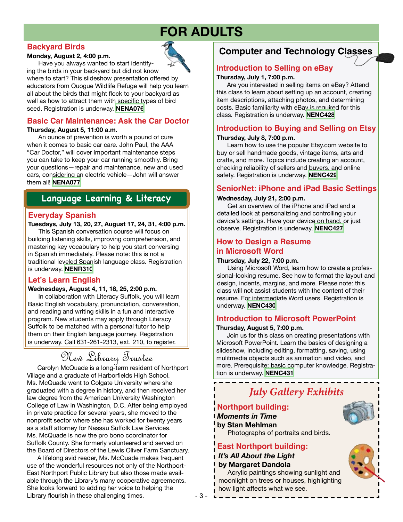# **FOR ADULTS**

### **Backyard Birds**

### **Monday, August 2, 4:00 p.m.**

Have you always wanted to start identify-



ing the birds in your backyard but did not know where to start? This slideshow presentation offered by educators from Quogue Wildlife Refuge will help you learn all about the birds that might flock to your backyard as well as how to attract them with specific types of bird seed. Registration is underway. **[NENA076](https://search.livebrary.com/record=g1105423~S43)**

# **Basic Car Maintenance: Ask the Car Doctor**

### **Thursday, August 5, 11:00 a.m.**

An ounce of prevention is worth a pound of cure when it comes to basic car care. John Paul, the AAA "Car Doctor," will cover important maintenance steps you can take to keep your car running smoothly. Bring your questions—repair and maintenance, new and used cars, considering an electric vehicle—John will answer them all! **[NENA077](https://search.livebrary.com/record=g1105428~S43)**

# **Language Learning & Literacy**

### **Everyday Spanish**

### **Tuesdays, July 13, 20, 27, August 17, 24, 31, 4:00 p.m.**

This Spanish conversation course will focus on building listening skills, improving comprehension, and mastering key vocabulary to help you start conversing in Spanish immediately. Please note: this is not a traditional leveled Spanish language class. Registration is underway. **[NENR310](https://search.livebrary.com/record=g1099952~S43)**

# **Let's Learn English**

### **Wednesdays, August 4, 11, 18, 25, 2:00 p.m.**

In collaboration with Literacy Suffolk, you will learn Basic English vocabulary, pronunciation, conversation, and reading and writing skills in a fun and interactive program. New students may apply through Literacy Suffolk to be matched with a personal tutor to help them on their English language journey. Registration is underway. Call 631-261-2313, ext. 210, to register.

# New Library Trustee

Carolyn McQuade is a long-term resident of Northport Village and a graduate of Harborfields High School. Ms. McQuade went to Colgate University where she graduated with a degree in history, and then received her law degree from the American University Washington College of Law in Washington, D.C. After being employed in private practice for several years, she moved to the nonprofit sector where she has worked for twenty years as a staff attorney for Nassau Suffolk Law Services. Ms. McQuade is now the pro bono coordinator for Suffolk County. She formerly volunteered and served on the Board of Directors of the Lewis Oliver Farm Sanctuary.

 A lifelong avid reader, Ms. McQuade makes frequent use of the wonderful resources not only of the Northport-East Northport Public Library but also those made available through the Library's many cooperative agreements. She looks forward to adding her voice to helping the Library flourish in these challenging times.

# **Computer and Technology Classes**

# **Introduction to Selling on eBay**

### **Thursday, July 1, 7:00 p.m.**

 Are you interested in selling items on eBay? Attend this class to learn about setting up an account, creating item descriptions, attaching photos, and determining costs. Basic familiarity with eBay is required for this class. Registration is underway. **[NENC428](https://search.livebrary.com/record=g1104408~S43)**

### **Introduction to Buying and Selling on Etsy**

### **Thursday, July 8, 7:00 p.m.**

 Learn how to use the popular Etsy.com website to buy or sell handmade goods, vintage items, arts and crafts, and more. Topics include creating an account, checking reliability of sellers and buyers, and online safety. Registration is underway. **[NENC429](https://search.livebrary.com/record=g1104409~S43)**

### **SeniorNet: iPhone and iPad Basic Settings**

### **Wednesday, July 21, 2:00 p.m.**

 Get an overview of the iPhone and iPad and a detailed look at personalizing and controlling your device's settings. Have your device on hand, or just observe. Registration is underway. **[NENC427](https://search.livebrary.com/record=g1067871~S43)**

# **How to Design a Resume in Microsoft Word**

### **Thursday, July 22, 7:00 p.m.**

 Using Microsoft Word, learn how to create a professional-looking resume. See how to format the layout and design, indents, margins, and more. Please note: this class will not assist students with the content of their resume. For intermediate Word users. Registration is underway. **[NENC430](https://search.livebrary.com/record=g1104411~S43)**

### **Introduction to Microsoft PowerPoint**

### **Thursday, August 5, 7:00 p.m.**

 Join us for this class on creating presentations with Microsoft PowerPoint. Learn the basics of designing a slideshow, including editing, formatting, saving, using mulitmedia objects such as animation and video, and more. Prerequisite: basic computer knowledge. Registration is underway. **[NENC431](https://search.livebrary.com/record=g1104412~S43)**

# *July Gallery Exhibits*

# **Northport building:** *Moments in Time* **by Stan Mehlman**

Photographs of portraits and birds.

# **East Northport building:** *It's All About the Light*

### **by Margaret Dandola**

 Acrylic paintings showing sunlight and moonlight on trees or houses, highlighting how light affects what we see.



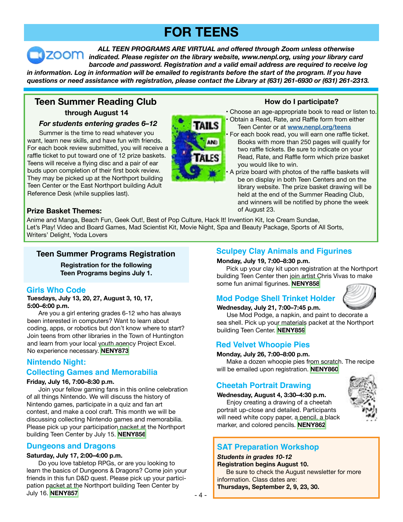# **FOR TEENS**

 *ALL TEEN PROGRAMS ARE VIRTUAL and offered through Zoom unless otherwise indicated. Please register on the library website, www.nenpl.org, using your library card barcode and password. Registration and a valid email address are required to receive log* in information. Log in information will be emailed to registrants before the start of the program. If you have *questions or need assistance with registration, please contact the Library at (631) 261-6930 or (631) 261-2313.*

# **through August 14 Teen Summer Reading Club How do I participate?**

### *For students entering grades 6–12*

 Summer is the time to read whatever you want, learn new skills, and have fun with friends. For each book review submitted, you will receive a raffle ticket to put toward one of 12 prize baskets. Teens will receive a flying disc and a pair of ear buds upon completion of their first book review. They may be picked up at the Northport building Teen Center or the East Northport building Adult Reference Desk (while supplies last).



- Choose an age-appropriate book to read or listen to.
- Obtain a Read, Rate, and Raffle form from either Teen Center or at **[www.nenpl.org/teens](http://www.nenpl.org/teens)**
- For each book read, you will earn one raffle ticket. Books with more than 250 pages will qualify for two raffle tickets. Be sure to indicate on your Read, Rate, and Raffle form which prize basket you would like to win.
- A prize board with photos of the raffle baskets will be on display in both Teen Centers and on the library website. The prize basket drawing will be held at the end of the Summer Reading Club, and winners will be notified by phone the week of August 23.

### **Prize Basket Themes:**

Anime and Manga, Beach Fun, Geek Out!, Best of Pop Culture, Hack It! Invention Kit, Ice Cream Sundae, Let's Play! Video and Board Games, Mad Scientist Kit, Movie Night, Spa and Beauty Package, Sports of All Sorts, Writers' Delight, Yoda Lovers

## **Teen Summer Programs Registration**

**Registration for the following Teen Programs begins July 1.**

### **Girls Who Code**

**Tuesdays, July 13, 20, 27, August 3, 10, 17, 5:00–6:00 p.m.** 

 Are you a girl entering grades 6-12 who has always been interested in computers? Want to learn about coding, apps, or robotics but don't know where to start? Join teens from other libraries in the Town of Huntington and learn from your local youth agency Project Excel. No experience necessary. **[NENY873](https://search.livebrary.com/record=g1105765~S43)**

# **Nintendo Night:**

### **Collecting Games and Memorabilia**

### **Friday, July 16, 7:00–8:30 p.m.**

 Join your fellow gaming fans in this online celebration of all things Nintendo. We will discuss the history of Nintendo games, participate in a quiz and fan art contest, and make a cool craft. This month we will be discussing collecting Nintendo games and memorabilia. Please pick up your participation packet at the Northport building Teen Center by July 15. **[NENY856](https://search.livebrary.com/record=g1105683~S43)**

### **Dungeons and Dragons**

### **Saturday, July 17, 2:00–4:00 p.m.**

 Do you love tabletop RPGs, or are you looking to learn the basics of Dungeons & Dragons? Come join your friends in this fun D&D quest. Please pick up your participation packet at the Northport building Teen Center by July 16. **[NENY857](https://search.livebrary.com/record=g1105687~S43)**

### **Sculpey Clay Animals and Figurines**

### **Monday, July 19, 7:00–8:30 p.m.**

 Pick up your clay kit upon registration at the Northport building Teen Center then join artist Chris Vivas to make some fun animal figurines. **[NENY858](https://search.livebrary.com/record=g1105767~S43)**

# **Mod Podge Shell Trinket Holder**



 Use Mod Podge, a napkin, and paint to decorate a sea shell. Pick up your materials packet at the Northport building Teen Center. **[NENY859](https://search.livebrary.com/record=g1105768~S43)**

# **Red Velvet Whoopie Pies**

### **Monday, July 26, 7:00–8:00 p.m.**

 Make a dozen whoopie pies from scratch. The recipe will be emailed upon registration. **[NENY860](https://search.livebrary.com/record=g1105769~S85)**

# **Cheetah Portrait Drawing**

**Wednesday, August 4, 3:30–4:30 p.m.** 

 Enjoy creating a drawing of a cheetah portrait up-close and detailed. Participants will need white copy paper, a pencil, a black marker, and colored pencils. **[NENY862](https://search.livebrary.com/record=g1105771~S43)**



# **SAT Preparation Workshop**

### *Students in grades 10-12*

**Registration begins August 10.**

### Be sure to check the August newsletter for more information. Class dates are:

**Thursdays, September 2, 9, 23, 30.**

L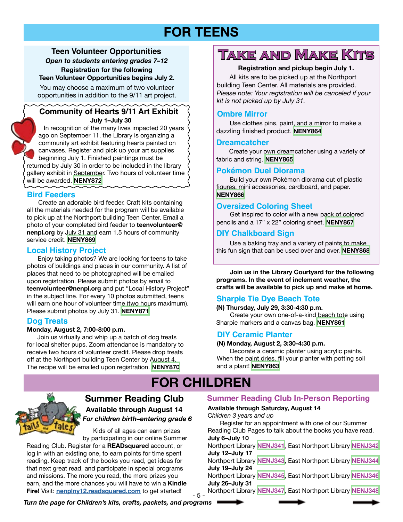# **FOR TEENS**

### **Teen Volunteer Opportunities**  *Open to students entering grades 7–12*

**Registration for the following Teen Volunteer Opportunities begins July 2.**

You may choose a maximum of two volunteer opportunities in addition to the 9/11 art project.

### **Community of Hearts 9/11 Art Exhibit July 1–July 30**

In recognition of the many lives impacted 20 years ago on September 11, the Library is organizing a community art exhibit featuring hearts painted on canvases. Register and pick up your art supplies beginning July 1. Finished paintings must be returned by July 30 in order to be included in the library gallery exhibit in September. Two hours of volunteer time will be awarded. **[NENY872](https://search.livebrary.com/record=g1105784~S43)**

# **Bird Feeders**

 Create an adorable bird feeder. Craft kits containing all the materials needed for the program will be available to pick up at the Northport building Teen Center. Email a photo of your completed bird feeder to **teenvolunteer@ nenpl.org** by July 31 and earn 1.5 hours of community service credit. **[NENY869](https://search.livebrary.com/record=g1105780~S43)**

## **Local History Project**

 Enjoy taking photos? We are looking for teens to take photos of buildings and places in our community. A list of places that need to be photographed will be emailed upon registration. Please submit photos by email to **teenvolunteer@nenpl.org** and put "Local History Project" in the subject line. For every 10 photos submitted, teens will earn one hour of volunteer time (two hours maximum). Please submit photos by July 31. **[NENY871](https://search.livebrary.com/record=g1105781~S43)**

### **Dog Treats**

### **Monday, August 2, 7:00-8:00 p.m.**

 Join us virtually and whip up a batch of dog treats for local shelter pups. Zoom attendance is mandatory to receive two hours of volunteer credit. Please drop treats off at the Northport building Teen Center by August 4. The recipe will be emailed upon registration. **[NENY870](https://search.livebrary.com/record=g1105782~S43)**

# **Take and Make Kits**

### **Registration and pickup begin July 1.**

 All kits are to be picked up at the Northport building Teen Center. All materials are provided. *Please note: Your registration will be canceled if your kit is not picked up by July 31.*

### **Ombre Mirror**

 Use clothes pins, paint, and a mirror to make a dazzling finished product. **[NENY864](https://search.livebrary.com/record=g1105772~S43)**

### **Dreamcatcher**

 Create your own dreamcatcher using a variety of fabric and string. **[NENY865](https://search.livebrary.com/record=g1105773~S43)**

# **Pokémon Duel Diorama**

 Build your own Pokémon diorama out of plastic figures, mini accessories, cardboard, and paper. **[NENY866](https://search.livebrary.com/record=g1105775~S43)**

### **Oversized Coloring Sheet**

 Get inspired to color with a new pack of colored pencils and a 17" x 22" coloring sheet. **[NENY867](https://search.livebrary.com/record=g1105776~S43)**

## **DIY Chalkboard Sign**

 Use a baking tray and a variety of paints to make this fun sign that can be used over and over. **[NENY868](https://search.livebrary.com/record=g1105777~S43)** 

 **Join us in the Library Courtyard for the following programs. In the event of inclement weather, the crafts will be available to pick up and make at home.**

# **Sharpie Tie Dye Beach Tote**

**(N) Thursday, July 29, 3:30-4:30 p.m.** Create your own one-of-a-kind beach tote using Sharpie markers and a canvas bag. **[NENY861](https://search.livebrary.com/record=g1105778~S43)**

# **DIY Ceramic Planter**

### **(N) Monday, August 2, 3:30-4:30 p.m.**

Decorate a ceramic planter using acrylic paints. When the paint dries, fill your planter with potting soil and a plant! **[NENY863](https://search.livebrary.com/record=g1105779~S43)**

# **FOR CHILDREN**



### **Summer Reading Club Available through August 14** *For children birth–entering grade 6*

 Kids of all ages can earn prizes by participating in our online Summer

Reading Club. Register for a **READsquared** account, or log in with an existing one, to earn points for time spent reading. Keep track of the books you read, get ideas for that next great read, and participate in special programs and missions. The more you read, the more prizes you earn, and the more chances you will have to win a **Kindle Fire!** Visit: **[nenplny12.readsquared.com](http://nenplny12.readsquared.com/)** to get started!

### **Summer Reading Club In-Person Reporting**

### **Available through Saturday, August 14**

C*hildren 3 years and up* 

 Register for an appointment with one of our Summer Reading Club Pages to talk about the books you have read. **July 6–July 10**

Northport Library **[NENJ341](https://search.livebrary.com/record=g1105162~S43),** East Northport Library **[NENJ342](https://search.livebrary.com/record=g1104803~S43) July 12–July 17**

Northport Library **[NENJ343](https://search.livebrary.com/record=g1105163~S43)**, East Northport Library **[NENJ344](http://NENJ344) July 19–July 24**

Northport Library **[NENJ345](https://search.livebrary.com/record=g1105195~S43)**, East Northport Library **[NENJ346](https://search.livebrary.com/record=g1104809~S43) July 26–July 31**

- 5 - Northport Library **[NENJ347](https://search.livebrary.com/record=g1105357~S43)**, East Northport Library **[NENJ348](https://search.livebrary.com/record=g1104810~S43)**

*Turn the page for Children's kits, crafts, packets, and programs*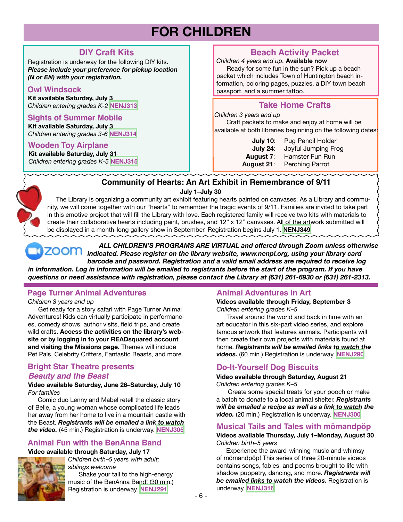# **FOR CHILDREN**

# **DIY Craft Kits**

Registration is underway for the following DIY kits. *Please include your preference for pickup location (N or EN) with your registration.*

### **Owl Windsock**

**Kit available Saturday, July 3** *Children entering grades K-2* **[NENJ313](https://search.livebrary.com/record=g1104896~S43)**

### **Sights of Summer Mobile**

**Kit available Saturday, July 3** *Children entering grades 3-6* **[NENJ314](https://search.livebrary.com/record=g1104898~S43)**

### **Wooden Toy Airplane**

**Kit available Saturday, July 31** *Children entering grades K-5* **[NENJ315](https://search.livebrary.com/record=g1104899~S43)**

# **Beach Activity Packet**

*Children 4 years and up.* **Available now**

 Ready for some fun in the sun? Pick up a beach packet which includes Town of Huntington beach information, coloring pages, puzzles, a DIY town beach passport, and a summer tattoo.

# **Take Home Crafts**

#### *Children 3 years and up*

 Craft packets to make and enjoy at home will be available at both libraries beginning on the following dates:

| <b>July 10:</b> | Pug Pencil Holder   |
|-----------------|---------------------|
| July 24:        | Joyful Jumping Frog |
| August 7:       | Hamster Fun Run     |
| August 21:      | Perching Parrot     |

# **Community of Hearts: An Art Exhibit in Remembrance of 9/11**

ī

 **July 1–July 30**

 The Library is organizing a community art exhibit featuring hearts painted on canvases. As a Library and community, we will come together with our "hearts" to remember the tragic events of 9/11. Families are invited to take part in this emotive project that will fill the Library with love. Each registered family will receive two kits with materials to create their collaborative hearts including paint, brushes, and 12" x 12" canvases. All of the artwork submitted will be displayed in a month-long gallery show in September. Registration begins July 1. **[NENJ349](https://search.livebrary.com/record=g1105503~S43)**

 *ALL CHILDREN'S PROGRAMS ARE VIRTUAL and offered through Zoom unless otherwise indicated. Please register on the library website, www.nenpl.org, using your library card barcode and password. Registration and a valid email address are required to receive log* in information. Log in information will be emailed to registrants before the start of the program. If you have *questions or need assistance with registration, please contact the Library at (631) 261-6930 or (631) 261-2313.*

# **Page Turner Animal Adventures**

*Children 3 years and up*

 Get ready for a story safari with Page Turner Animal Adventures! Kids can virtually participate in performances, comedy shows, author visits, field trips, and create wild crafts. **Access the activities on the library's website or by logging in to your READsquared account and visiting the Missions page.** Themes will include Pet Pals, Celebrity Critters, Fantastic Beasts, and more.

### **Bright Star Theatre presents** *Beauty and the Beast*

**Video available Saturday, June 26–Saturday, July 10**  *For families*

 Comic duo Lenny and Mabel retell the classic story of Belle, a young woman whose complicated life leads her away from her home to live in a mountain castle with the Beast. *Registrants will be emailed a link to watch the video.* (45 min.) Registration is underway. **[NENJ305](https://search.livebrary.com/record=g1103956~S43)**

### **Animal Fun with the BenAnna Band**

### **Video available through Saturday, July 17**



*Children birth–5 years with adult; siblings welcome*

 Shake your tail to the high-energy music of the BenAnna Band! (30 min.) Registration is underway. **[NENJ291](https://search.livebrary.com/record=g1103932~S43)**

# **Animal Adventures in Art**

**Videos available through Friday, September 3**  *Children entering grades K–5*

 Travel around the world and back in time with an art educator in this six-part video series, and explore famous artwork that features animals. Participants will then create their own projects with materials found at home. *Registrants will be emailed links to watch the videos.* (60 min.) Registration is underway. **[NENJ290](https://search.livebrary.com/record=g1103935~S43)**

# **Do-It-Yourself Dog Biscuits**

**Video available through Saturday, August 21** *Children entering grades K–5*

 Create some special treats for your pooch or make a batch to donate to a local animal shelter. *Registrants will be emailed a recipe as well as a link to watch the video.* (20 min.) Registration is underway. **[NENJ300](https://search.livebrary.com/record=g1103949~S43)**

### **Musical Tails and Tales with mömandpöp**

**Videos available Thursday, July 1–Monday, August 30** *Children birth–5 years*

Experience the award-winning music and whimsy of mömandpöp! This series of three 20-minute videos contains songs, fables, and poems brought to life with shadow puppetry, dancing, and more. *Registrants will be emailed links to watch the videos.* Registration is underway. **[NENJ316](https://search.livebrary.com/record=g1104712~S43)**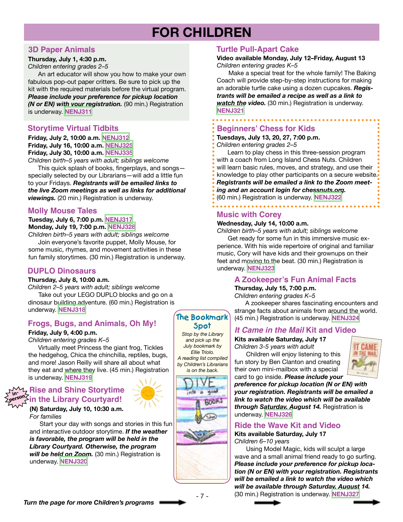# **FOR CHILDREN**

### **3D Paper Animals**

### **Thursday, July 1, 4:30 p.m.**

*Children entering grades 2–5*

 An art educator will show you how to make your own fabulous pop-out paper critters. Be sure to pick up the kit with the required materials before the virtual program. *Please include your preference for pickup location (N or EN) with your registration.* (90 min.) Registration is underway. **[NENJ311](https://search.livebrary.com/record=g1103960~S43)**

### **Storytime Virtual Tidbits**

### **Friday, July 2, 10:00 a.m. [NENJ312](https://search.livebrary.com/record=g1104792~S43) Friday, July 16, 10:00 a.m. [NENJ325](https://search.livebrary.com/record=g1105375~S43) Friday, July 30, 10:00 a.m. [NENJ335](https://search.livebrary.com/record=g1105376~S43)**

*Children birth–5 years with adult; siblings welcome*

 This quick splash of books, fingerplays, and songs specially selected by our Librarians—will add a little fun to your Fridays. *Registrants will be emailed links to the live Zoom meetings as well as links for additional viewings.* (20 min.) Registration is underway.

### **Molly Mouse Tales**

### **Tuesday, July 6, 7:00 p.m. [NENJ317](https://search.livebrary.com/record=g1103961~S43) Monday, July 19, 7:00 p.m. [NENJ328](https://search.livebrary.com/record=g1103964~S43)**

*Children birth–5 years with adult; siblings welcome* Join everyone's favorite puppet, Molly Mouse, for some music, rhymes, and movement activities in these fun family storytimes. (30 min.) Registration is underway.

### **DUPLO Dinosaurs**

### **Thursday, July 8, 10:00 a.m.**

*Children 2–5 years with adult; siblings welcome* Take out your LEGO DUPLO blocks and go on a dinosaur building adventure. (60 min.) Registration is underway. **[NENJ318](https://search.livebrary.com/record=g1103962~S43)**

# **Frogs, Bugs, and Animals, Oh My!**

### **Friday, July 9, 4:00 p.m.**

*Children entering grades K–5*

 Virtually meet Princess the giant frog, Tickles the hedgehog, Chica the chinchilla, reptiles, bugs, and more! Jason Reilly will share all about what they eat and where they live. (45 min.) Registration is underway. **[NENJ319](https://search.livebrary.com/record=g1104460~S43)**

#### **inperson Rise and Shine Storytime in the Library Courtyard!**

### **(N) Saturday, July 10, 10:30 a.m.**  *For families*

 Start your day with songs and stories in this fun and interactive outdoor storytime. *If the weather is favorable, the program will be held in the Library Courtyard. Otherwise, the program will be held on Zoom.* (30 min.) Registration is underway. **[NENJ320](https://search.livebrary.com/record=g1104818~S43)**

### **Turtle Pull-Apart Cake**

#### **Video available Monday, July 12–Friday, August 13** *Children entering grades K–5*

 Make a special treat for the whole family! The Baking Coach will provide step-by-step instructions for making an adorable turtle cake using a dozen cupcakes. *Registrants will be emailed a recipe as well as a link to watch the video.* (30 min.) Registration is underway. **[NENJ321](https://search.livebrary.com/record=g1104595~S43)**

# **Beginners' Chess for Kids**

**Tuesdays, July 13, 20, 27, 7:00 p.m.** 

*Children entering grades 2–5*

- Learn to play chess in this three-session program with a coach from Long Island Chess Nuts. Children will learn basic rules, moves, and strategy, and use their knowledge to play other participants on a secure website.
- *Registrants will be emailed a link to the Zoom meet-*
- *ing and an account login for chessnuts.org.*
- (60 min.) Registration is underway. **[NENJ322](https://search.livebrary.com/record=g1103967~S43)**

# **Music with Corey**

### **Wednesday, July 14, 10:00 a.m.**

*Children birth–5 years with adult; siblings welcome* Get ready for some fun in this immersive music experience. With his wide repertoire of original and familiar music, Cory will have kids and their grownups on their feet and moving to the beat. (30 min.) Registration is underway. **[NENJ323](https://search.livebrary.com/record=g1104684~S43)**

### **A Zookeeper's Fun Animal Facts**

### **Thursday, July 15, 7:00 p.m.**

*Children entering grades K–5*

 A zookeeper shares fascinating encounters and strange facts about animals from around the world. (45 min.) Registration is underway. **[NENJ324](https://search.livebrary.com/record=g1103963~S43)**

### *It Came in the Mail* **Kit and Video**

**Kits available Saturday, July 17** *Children 3-5 years with adult*

 Children will enjoy listening to this fun story by Ben Clanton and creating their own mini-mailbox with a special card to go inside. *Please include your*



*preference for pickup location (N or EN) with your registration. Registrants will be emailed a link to watch the video which will be available through Saturday, August 14.* Registration is underway. **[NENJ326](https://search.livebrary.com/record=g1104705~S43)**

### **Ride the Wave Kit and Video**

**Kits available Saturday, July 17** *Children 6–10 years*

 Using Model Magic, kids will sculpt a large wave and a small animal friend ready to go surfing. *Please include your preference for pickup location (N or EN) with your registration. Registrants will be emailed a link to watch the video which will be available through Saturday, August 14.* (30 min.) Registration is underway. **[NENJ327](https://search.livebrary.com/record=g1104706~S43)**





*Stop by the Library and pick up the July bookmark by Ellie Triolo. A reading list compiled by Children's Librarians is on the back.*

> $\overline{\phantom{a}}$ 444 **BOOK!**

**The Bookmark Spot**